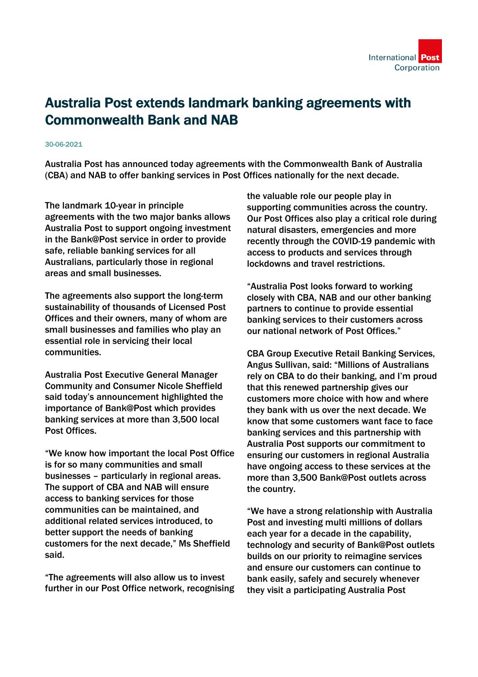

## Australia Post extends landmark banking agreements with Commonwealth Bank and NAB

## 30-06-2021

Australia Post has announced today agreements with the Commonwealth Bank of Australia (CBA) and NAB to offer banking services in Post Offices nationally for the next decade.

The landmark 10-year in principle agreements with the two major banks allows Australia Post to support ongoing investment in the Bank@Post service in order to provide safe, reliable banking services for all Australians, particularly those in regional areas and small businesses.

The agreements also support the long-term sustainability of thousands of Licensed Post Offices and their owners, many of whom are small businesses and families who play an essential role in servicing their local communities.

Australia Post Executive General Manager Community and Consumer Nicole Sheffield said today's announcement highlighted the importance of Bank@Post which provides banking services at more than 3,500 local Post Offices.

"We know how important the local Post Office is for so many communities and small businesses – particularly in regional areas. The support of CBA and NAB will ensure access to banking services for those communities can be maintained, and additional related services introduced, to better support the needs of banking customers for the next decade," Ms Sheffield said.

"The agreements will also allow us to invest further in our Post Office network, recognising the valuable role our people play in supporting communities across the country. Our Post Offices also play a critical role during natural disasters, emergencies and more recently through the COVID-19 pandemic with access to products and services through lockdowns and travel restrictions.

"Australia Post looks forward to working closely with CBA, NAB and our other banking partners to continue to provide essential banking services to their customers across our national network of Post Offices."

CBA Group Executive Retail Banking Services, Angus Sullivan, said: "Millions of Australians rely on CBA to do their banking, and I'm proud that this renewed partnership gives our customers more choice with how and where they bank with us over the next decade. We know that some customers want face to face banking services and this partnership with Australia Post supports our commitment to ensuring our customers in regional Australia have ongoing access to these services at the more than 3,500 Bank@Post outlets across the country.

"We have a strong relationship with Australia Post and investing multi millions of dollars each year for a decade in the capability, technology and security of Bank@Post outlets builds on our priority to reimagine services and ensure our customers can continue to bank easily, safely and securely whenever they visit a participating Australia Post